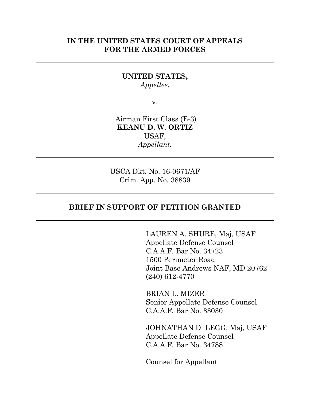### **IN THE UNITED STATES COURT OF APPEALS FOR THE ARMED FORCES**

### **UNITED STATES,** *Appellee*,

v.

Airman First Class (E-3) **KEANU D. W. ORTIZ** USAF, *Appellant.*

USCA Dkt. No. 16-0671/AF Crim. App. No. 38839

### **BRIEF IN SUPPORT OF PETITION GRANTED**

LAUREN A. SHURE, Maj, USAF Appellate Defense Counsel C.A.A.F. Bar No. 34723 1500 Perimeter Road Joint Base Andrews NAF, MD 20762 (240) 612-4770

BRIAN L. MIZER Senior Appellate Defense Counsel C.A.A.F. Bar No. 33030

JOHNATHAN D. LEGG, Maj, USAF Appellate Defense Counsel C.A.A.F. Bar No. 34788

Counsel for Appellant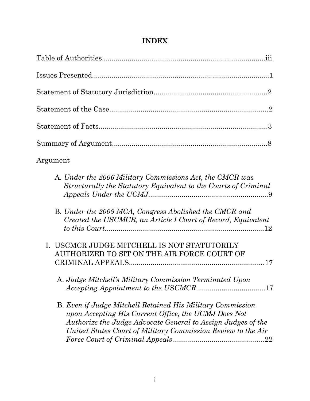# **INDEX**

| Argument                                                                                                                                                                                                                                           |
|----------------------------------------------------------------------------------------------------------------------------------------------------------------------------------------------------------------------------------------------------|
| A. Under the 2006 Military Commissions Act, the CMCR was<br>Structurally the Statutory Equivalent to the Courts of Criminal                                                                                                                        |
| B. Under the 2009 MCA, Congress Abolished the CMCR and<br>Created the USCMCR, an Article I Court of Record, Equivalent                                                                                                                             |
| I. USCMCR JUDGE MITCHELL IS NOT STATUTORILY<br>AUTHORIZED TO SIT ON THE AIR FORCE COURT OF                                                                                                                                                         |
| A. Judge Mitchell's Military Commission Terminated Upon                                                                                                                                                                                            |
| B. Even if Judge Mitchell Retained His Military Commission<br>upon Accepting His Current Office, the UCMJ Does Not<br>Authorize the Judge Advocate General to Assign Judges of the<br>United States Court of Military Commission Review to the Air |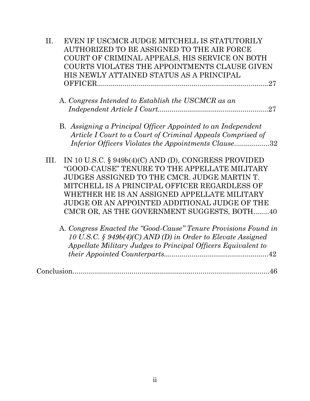| II.  | EVEN IF USCMCR JUDGE MITCHELL IS STATUTORILY                    |
|------|-----------------------------------------------------------------|
|      | AUTHORIZED TO BE ASSIGNED TO THE AIR FORCE                      |
|      | COURT OF CRIMINAL APPEALS, HIS SERVICE ON BOTH                  |
|      | COURTS VIOLATES THE APPOINTMENTS CLAUSE GIVEN                   |
|      | HIS NEWLY ATTAINED STATUS AS A PRINCIPAL                        |
|      |                                                                 |
|      |                                                                 |
|      | A. Congress Intended to Establish the USCMCR as an              |
|      |                                                                 |
|      | B. Assigning a Principal Officer Appointed to an Independent    |
|      | Article I Court to a Court of Criminal Appeals Comprised of     |
|      | Inferior Officers Violates the Appointments Clause32            |
| III. | IN 10 U.S.C. § 949b(4)(C) AND (D), CONGRESS PROVIDED            |
|      | "GOOD-CAUSE" TENURE TO THE APPELLATE MILITARY                   |
|      | JUDGES ASSIGNED TO THE CMCR. JUDGE MARTIN T.                    |
|      | MITCHELL IS A PRINCIPAL OFFICER REGARDLESS OF                   |
|      |                                                                 |
|      | WHETHER HE IS AN ASSIGNED APPELLATE MILITARY                    |
|      | JUDGE OR AN APPOINTED ADDITIONAL JUDGE OF THE                   |
|      | CMCR OR, AS THE GOVERNMENT SUGGESTS, BOTH40                     |
|      | A. Congress Enacted the "Good-Cause" Tenure Provisions Found in |
|      | 10 U.S.C. § 949 $b(4)$ (C) AND (D) in Order to Elevate Assigned |
|      | Appellate Military Judges to Principal Officers Equivalent to   |
|      |                                                                 |
|      |                                                                 |

Conclusion....................................................................................................46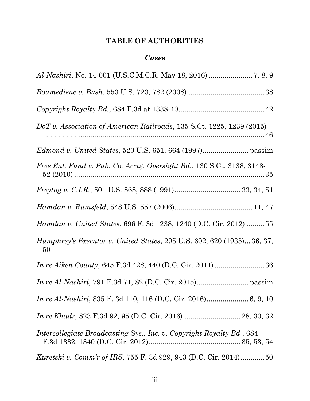# **TABLE OF AUTHORITIES**

## *Cases*

| DoT v. Association of American Railroads, 135 S.Ct. 1225, 1239 (2015)              |
|------------------------------------------------------------------------------------|
|                                                                                    |
| Free Ent. Fund v. Pub. Co. Acctg. Oversight Bd., 130 S.Ct. 3138, 3148-             |
|                                                                                    |
|                                                                                    |
| Hamdan v. United States, 696 F. 3d 1238, 1240 (D.C. Cir. 2012)  55                 |
| <i>Humphrey's Executor v. United States, 295 U.S. 602, 620 (1935)36, 37,</i><br>50 |
|                                                                                    |
|                                                                                    |
|                                                                                    |
|                                                                                    |
| Intercollegiate Broadcasting Sys., Inc. v. Copyright Royalty Bd., 684              |
| <i>Kuretski v. Comm'r of IRS, 755 F. 3d 929, 943 (D.C. Cir. 2014)50</i>            |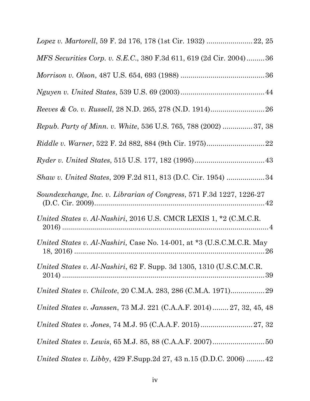| MFS Securities Corp. v. S.E.C., 380 F.3d 611, 619 (2d Cir. 2004)36      |
|-------------------------------------------------------------------------|
|                                                                         |
|                                                                         |
|                                                                         |
| <i>Repub. Party of Minn. v. White, 536 U.S. 765, 788 (2002) </i> 37, 38 |
|                                                                         |
|                                                                         |
| Shaw v. United States, 209 F.2d 811, 813 (D.C. Cir. 1954) 34            |
| Soundexchange, Inc. v. Librarian of Congress, 571 F.3d 1227, 1226-27    |
| United States v. Al-Nashiri, 2016 U.S. CMCR LEXIS 1, *2 (C.M.C.R.       |
| United States v. Al-Nashiri, Case No. 14-001, at *3 (U.S.C.M.C.R. May   |
| United States v. Al-Nashiri, 62 F. Supp. 3d 1305, 1310 (U.S.C.M.C.R.    |
|                                                                         |
| United States v. Janssen, 73 M.J. 221 (C.A.A.F. 2014) 27, 32, 45, 48    |
|                                                                         |
|                                                                         |
| United States v. Libby, 429 F.Supp.2d 27, 43 n.15 (D.D.C. 2006)  42     |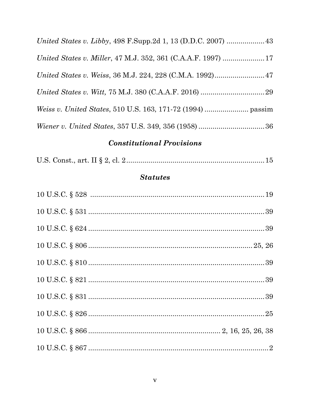| United States v. Weiss, 36 M.J. 224, 228 (C.M.A. 1992) 47 |  |
|-----------------------------------------------------------|--|
|                                                           |  |
|                                                           |  |
|                                                           |  |

# **Constitutional Provisions**

|--|--|--|--|--|

# **Statutes**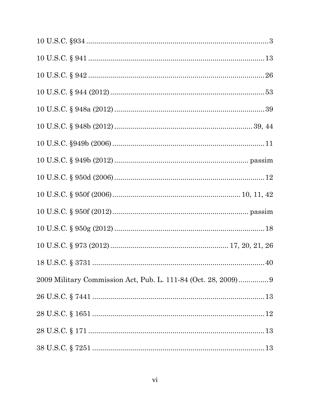| 2009 Military Commission Act, Pub. L. 111-84 (Oct. 28, 2009) 9 |
|----------------------------------------------------------------|
|                                                                |
|                                                                |
|                                                                |
|                                                                |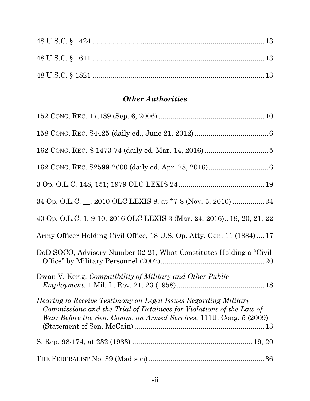# *Other Authorities*

| 34 Op. O.L.C. __, 2010 OLC LEXIS 8, at *7-8 (Nov. 5, 2010) 34                                                                                                                                                       |
|---------------------------------------------------------------------------------------------------------------------------------------------------------------------------------------------------------------------|
| 40 Op. O.L.C. 1, 9-10; 2016 OLC LEXIS 3 (Mar. 24, 2016) 19, 20, 21, 22                                                                                                                                              |
| Army Officer Holding Civil Office, 18 U.S. Op. Atty. Gen. 11 (1884) 17                                                                                                                                              |
| DoD SOCO, Advisory Number 02-21, What Constitutes Holding a "Civil"                                                                                                                                                 |
| Dwan V. Kerig, Compatibility of Military and Other Public                                                                                                                                                           |
| <i>Hearing to Receive Testimony on Legal Issues Regarding Military</i><br>Commissions and the Trial of Detainees for Violations of the Law of<br>War: Before the Sen. Comm. on Armed Services, 111th Cong. 5 (2009) |
|                                                                                                                                                                                                                     |
|                                                                                                                                                                                                                     |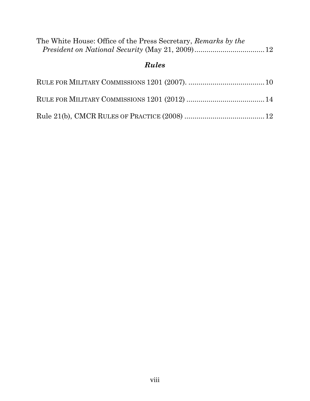| The White House: Office of the Press Secretary, Remarks by the |  |
|----------------------------------------------------------------|--|
| <b>Rules</b>                                                   |  |
|                                                                |  |
|                                                                |  |
|                                                                |  |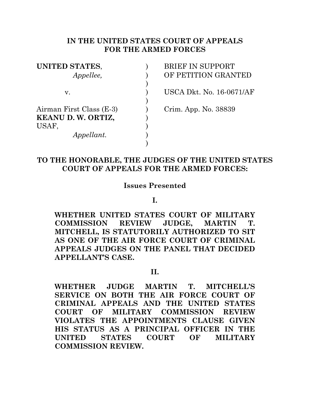### **IN THE UNITED STATES COURT OF APPEALS FOR THE ARMED FORCES**

)

| <b>UNITED STATES,</b>    |  |
|--------------------------|--|
| <i>Appellee,</i>         |  |
|                          |  |
| v.                       |  |
|                          |  |
| Airman First Class (E-3) |  |
| KEANU D.W. ORTIZ,        |  |
| USAF,                    |  |
| <i>Appellant.</i>        |  |
|                          |  |

**BRIEF IN SUPPORT** *APPELLEMANTED* 

USCA Dkt. No. 16-0671/AF

Crim. App. No. 38839

## **TO THE HONORABLE, THE JUDGES OF THE UNITED STATES COURT OF APPEALS FOR THE ARMED FORCES:**

### **Issues Presented**

**I.**

**WHETHER UNITED STATES COURT OF MILITARY COMMISSION REVIEW JUDGE, MARTIN T. MITCHELL, IS STATUTORILY AUTHORIZED TO SIT AS ONE OF THE AIR FORCE COURT OF CRIMINAL APPEALS JUDGES ON THE PANEL THAT DECIDED APPELLANT'S CASE.**

### **II.**

**WHETHER JUDGE MARTIN T. MITCHELL'S SERVICE ON BOTH THE AIR FORCE COURT OF CRIMINAL APPEALS AND THE UNITED STATES COURT OF MILITARY COMMISSION REVIEW VIOLATES THE APPOINTMENTS CLAUSE GIVEN HIS STATUS AS A PRINCIPAL OFFICER IN THE UNITED STATES COURT OF MILITARY COMMISSION REVIEW.**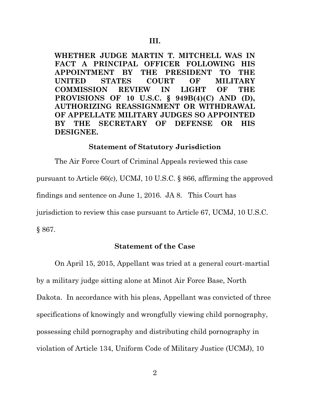**WHETHER JUDGE MARTIN T. MITCHELL WAS IN FACT A PRINCIPAL OFFICER FOLLOWING HIS APPOINTMENT BY THE PRESIDENT TO THE UNITED STATES COURT OF MILITARY COMMISSION REVIEW IN LIGHT OF THE PROVISIONS OF 10 U.S.C. § 949B(4)(C) AND (D), AUTHORIZING REASSIGNMENT OR WITHDRAWAL OF APPELLATE MILITARY JUDGES SO APPOINTED BY THE SECRETARY OF DEFENSE OR HIS DESIGNEE.**

### **Statement of Statutory Jurisdiction**

The Air Force Court of Criminal Appeals reviewed this case pursuant to Article 66(c), UCMJ, 10 U.S.C. § 866, affirming the approved findings and sentence on June 1, 2016. JA 8. This Court has jurisdiction to review this case pursuant to Article 67, UCMJ, 10 U.S.C. § 867.

### **Statement of the Case**

On April 15, 2015, Appellant was tried at a general court-martial by a military judge sitting alone at Minot Air Force Base, North Dakota. In accordance with his pleas, Appellant was convicted of three specifications of knowingly and wrongfully viewing child pornography, possessing child pornography and distributing child pornography in violation of Article 134, Uniform Code of Military Justice (UCMJ), 10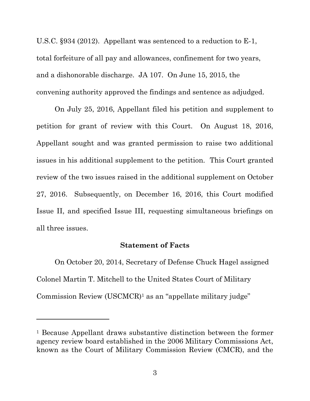U.S.C. §934 (2012). Appellant was sentenced to a reduction to E-1, total forfeiture of all pay and allowances, confinement for two years, and a dishonorable discharge. JA 107. On June 15, 2015, the convening authority approved the findings and sentence as adjudged.

On July 25, 2016, Appellant filed his petition and supplement to petition for grant of review with this Court. On August 18, 2016, Appellant sought and was granted permission to raise two additional issues in his additional supplement to the petition. This Court granted review of the two issues raised in the additional supplement on October 27, 2016. Subsequently, on December 16, 2016, this Court modified Issue II, and specified Issue III, requesting simultaneous briefings on all three issues.

### **Statement of Facts**

On October 20, 2014, Secretary of Defense Chuck Hagel assigned Colonel Martin T. Mitchell to the United States Court of Military Commission Review (USCMCR)<sup>1</sup> as an "appellate military judge"

 $\overline{a}$ 

<sup>1</sup> Because Appellant draws substantive distinction between the former agency review board established in the 2006 Military Commissions Act, known as the Court of Military Commission Review (CMCR), and the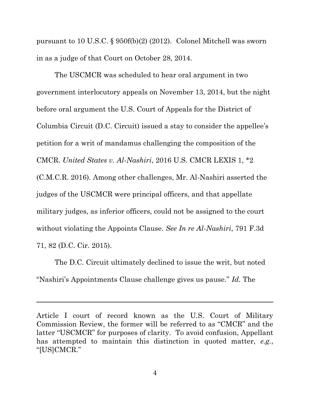pursuant to 10 U.S.C. § 950f(b)(2) (2012). Colonel Mitchell was sworn in as a judge of that Court on October 28, 2014.

The USCMCR was scheduled to hear oral argument in two government interlocutory appeals on November 13, 2014, but the night before oral argument the U.S. Court of Appeals for the District of Columbia Circuit (D.C. Circuit) issued a stay to consider the appellee's petition for a writ of mandamus challenging the composition of the CMCR. *United States v. Al-Nashiri*, 2016 U.S. CMCR LEXIS 1, \*2 (C.M.C.R. 2016). Among other challenges, Mr. Al-Nashiri asserted the judges of the USCMCR were principal officers, and that appellate military judges, as inferior officers, could not be assigned to the court without violating the Appoints Clause. *See In re Al-Nashiri*, 791 F.3d 71, 82 (D.C. Cir. 2015).

The D.C. Circuit ultimately declined to issue the writ, but noted "Nashiri's Appointments Clause challenge gives us pause." *Id.* The

 $\overline{a}$ 

Article I court of record known as the U.S. Court of Military Commission Review, the former will be referred to as "CMCR" and the latter "USCMCR" for purposes of clarity. To avoid confusion, Appellant has attempted to maintain this distinction in quoted matter, *e.g.*, "[US]CMCR."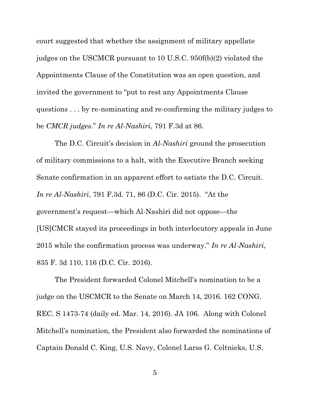court suggested that whether the assignment of military appellate judges on the USCMCR pursuant to 10 U.S.C. 950f(b)(2) violated the Appointments Clause of the Constitution was an open question, and invited the government to "put to rest any Appointments Clause questions . . . by re-nominating and re-confirming the military judges to be *CMCR judges*." *In re Al-Nashiri*, 791 F.3d at 86.

The D.C. Circuit's decision in *Al-Nashiri* ground the prosecution of military commissions to a halt, with the Executive Branch seeking Senate confirmation in an apparent effort to satiate the D.C. Circuit. *In re Al-Nashiri*, 791 F.3d. 71, 86 (D.C. Cir. 2015). "At the government's request—which Al-Nashiri did not oppose—the [US]CMCR stayed its proceedings in both interlocutory appeals in June 2015 while the confirmation process was underway." *In re Al-Nashiri*, 835 F. 3d 110, 116 (D.C. Cir. 2016).

The President forwarded Colonel Mitchell's nomination to be a judge on the USCMCR to the Senate on March 14, 2016. 162 CONG. REC. S 1473-74 (daily ed. Mar. 14, 2016). JA 106. Along with Colonel Mitchell's nomination, the President also forwarded the nominations of Captain Donald C. King, U.S. Navy, Colonel Larss G. Celtnieks, U.S.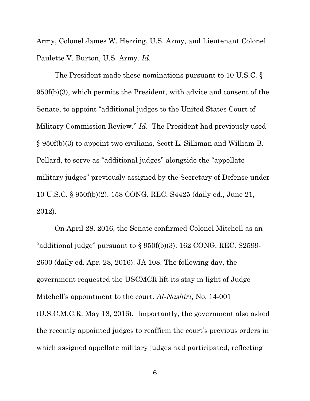Army, Colonel James W. Herring, U.S. Army, and Lieutenant Colonel Paulette V. Burton, U.S. Army. *Id*.

The President made these nominations pursuant to 10 U.S.C. § 950f(b)(3), which permits the President, with advice and consent of the Senate, to appoint "additional judges to the United States Court of Military Commission Review." *Id*. The President had previously used § 950f(b)(3) to appoint two civilians, Scott L. Silliman and William B. Pollard, to serve as "additional judges" alongside the "appellate military judges" previously assigned by the Secretary of Defense under 10 U.S.C. § 950f(b)(2). 158 CONG. REC. S4425 (daily ed., June 21, 2012).

On April 28, 2016, the Senate confirmed Colonel Mitchell as an "additional judge" pursuant to  $\S 950f(b)(3)$ . 162 CONG. REC. S2599-2600 (daily ed. Apr. 28, 2016). JA 108. The following day, the government requested the USCMCR lift its stay in light of Judge Mitchell's appointment to the court. *Al-Nashiri*, No. 14-001 (U.S.C.M.C.R. May 18, 2016). Importantly, the government also asked the recently appointed judges to reaffirm the court's previous orders in which assigned appellate military judges had participated, reflecting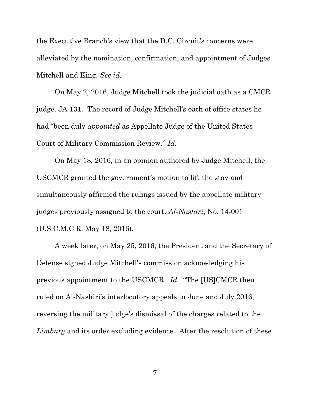the Executive Branch's view that the D.C. Circuit's concerns were alleviated by the nomination, confirmation, and appointment of Judges Mitchell and King. *See id.* 

On May 2, 2016, Judge Mitchell took the judicial oath as a CMCR judge. JA 131.The record of Judge Mitchell's oath of office states he had "been duly *appointed* as Appellate Judge of the United States Court of Military Commission Review." *Id.*

On May 18, 2016, in an opinion authored by Judge Mitchell, the USCMCR granted the government's motion to lift the stay and simultaneously affirmed the rulings issued by the appellate military judges previously assigned to the court. *Al-Nashiri*, No. 14-001 (U.S.C.M.C.R. May 18, 2016)*.* 

A week later, on May 25, 2016, the President and the Secretary of Defense signed Judge Mitchell's commission acknowledging his previous appointment to the USCMCR. *Id*. "The [US]CMCR then ruled on Al-Nashiri's interlocutory appeals in June and July 2016, reversing the military judge's dismissal of the charges related to the *Limburg* and its order excluding evidence. After the resolution of these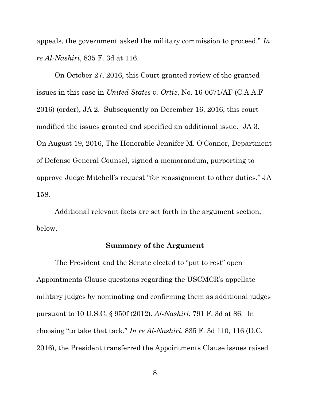appeals, the government asked the military commission to proceed." *In re Al-Nashiri*, 835 F. 3d at 116.

On October 27, 2016, this Court granted review of the granted issues in this case in *United States v. Ortiz*, No. 16-0671/AF (C.A.A.F 2016) (order), JA 2. Subsequently on December 16, 2016, this court modified the issues granted and specified an additional issue. JA 3. On August 19, 2016, The Honorable Jennifer M. O'Connor, Department of Defense General Counsel, signed a memorandum, purporting to approve Judge Mitchell's request "for reassignment to other duties." JA 158.

Additional relevant facts are set forth in the argument section, below.

### **Summary of the Argument**

The President and the Senate elected to "put to rest" open Appointments Clause questions regarding the USCMCR's appellate military judges by nominating and confirming them as additional judges pursuant to 10 U.S.C. § 950f (2012). *Al-Nashiri*, 791 F. 3d at 86. In choosing "to take that tack," *In re Al-Nashiri*, 835 F. 3d 110, 116 (D.C. 2016), the President transferred the Appointments Clause issues raised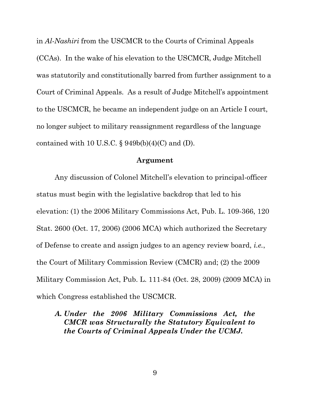in *Al-Nashiri* from the USCMCR to the Courts of Criminal Appeals (CCAs). In the wake of his elevation to the USCMCR, Judge Mitchell was statutorily and constitutionally barred from further assignment to a Court of Criminal Appeals. As a result of Judge Mitchell's appointment to the USCMCR, he became an independent judge on an Article I court, no longer subject to military reassignment regardless of the language contained with 10 U.S.C.  $\S$  949b(b)(4)(C) and (D).

#### **Argument**

Any discussion of Colonel Mitchell's elevation to principal-officer status must begin with the legislative backdrop that led to his elevation: (1) the 2006 Military Commissions Act, Pub. L. 109-366, 120 Stat. 2600 (Oct. 17, 2006) (2006 MCA) which authorized the Secretary of Defense to create and assign judges to an agency review board, *i.e.*, the Court of Military Commission Review (CMCR) and; (2) the 2009 Military Commission Act, Pub. L. 111-84 (Oct. 28, 2009) (2009 MCA) in which Congress established the USCMCR.

# *A. Under the 2006 Military Commissions Act, the CMCR was Structurally the Statutory Equivalent to the Courts of Criminal Appeals Under the UCMJ.*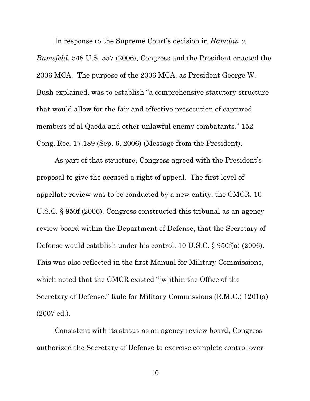In response to the Supreme Court's decision in *Hamdan v.* 

*Rumsfeld*, 548 U.S. 557 (2006), Congress and the President enacted the 2006 MCA. The purpose of the 2006 MCA, as President George W. Bush explained, was to establish "a comprehensive statutory structure that would allow for the fair and effective prosecution of captured members of al Qaeda and other unlawful enemy combatants." 152 Cong. Rec. 17,189 (Sep. 6, 2006) (Message from the President).

As part of that structure, Congress agreed with the President's proposal to give the accused a right of appeal. The first level of appellate review was to be conducted by a new entity, the CMCR. 10 U.S.C. § 950f (2006). Congress constructed this tribunal as an agency review board within the Department of Defense, that the Secretary of Defense would establish under his control. 10 U.S.C. § 950f(a) (2006). This was also reflected in the first Manual for Military Commissions, which noted that the CMCR existed "[w]ithin the Office of the Secretary of Defense." Rule for Military Commissions (R.M.C.) 1201(a) (2007 ed.).

Consistent with its status as an agency review board, Congress authorized the Secretary of Defense to exercise complete control over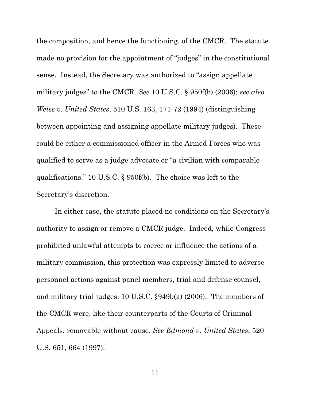the composition, and hence the functioning, of the CMCR. The statute made no provision for the appointment of "judges" in the constitutional sense. Instead, the Secretary was authorized to "assign appellate military judges" to the CMCR. *See* 10 U.S.C. § 950f(b) (2006); *see also Weiss v. United States*, 510 U.S. 163, 171-72 (1994) (distinguishing between appointing and assigning appellate military judges). These could be either a commissioned officer in the Armed Forces who was qualified to serve as a judge advocate or "a civilian with comparable qualifications." 10 U.S.C. § 950f(b). The choice was left to the Secretary's discretion.

In either case, the statute placed no conditions on the Secretary's authority to assign or remove a CMCR judge. Indeed, while Congress prohibited unlawful attempts to coerce or influence the actions of a military commission, this protection was expressly limited to adverse personnel actions against panel members, trial and defense counsel, and military trial judges. 10 U.S.C. §949b(a) (2006). The members of the CMCR were, like their counterparts of the Courts of Criminal Appeals, removable without cause. *See Edmond v. United States*, 520 U.S. 651, 664 (1997).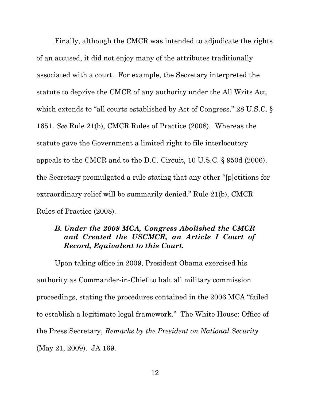Finally, although the CMCR was intended to adjudicate the rights of an accused, it did not enjoy many of the attributes traditionally associated with a court. For example, the Secretary interpreted the statute to deprive the CMCR of any authority under the All Writs Act, which extends to "all courts established by Act of Congress." 28 U.S.C. § 1651. *See* Rule 21(b), CMCR Rules of Practice (2008). Whereas the statute gave the Government a limited right to file interlocutory appeals to the CMCR and to the D.C. Circuit, 10 U.S.C. § 950d (2006), the Secretary promulgated a rule stating that any other "[p]etitions for extraordinary relief will be summarily denied." Rule 21(b), CMCR Rules of Practice (2008).

### *B. Under the 2009 MCA, Congress Abolished the CMCR and Created the USCMCR, an Article I Court of Record, Equivalent to this Court.*

Upon taking office in 2009, President Obama exercised his authority as Commander-in-Chief to halt all military commission proceedings, stating the procedures contained in the 2006 MCA "failed to establish a legitimate legal framework." The White House: Office of the Press Secretary, *Remarks by the President on National Security* (May 21, 2009). JA 169.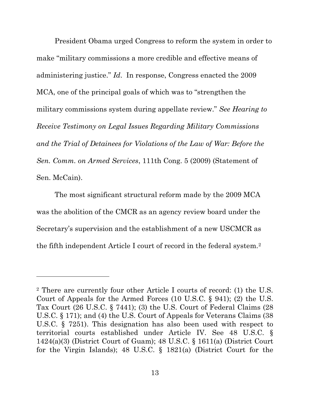President Obama urged Congress to reform the system in order to make "military commissions a more credible and effective means of administering justice." *Id*. In response, Congress enacted the 2009 MCA, one of the principal goals of which was to "strengthen the military commissions system during appellate review." *See Hearing to Receive Testimony on Legal Issues Regarding Military Commissions and the Trial of Detainees for Violations of the Law of War: Before the Sen. Comm. on Armed Services*, 111th Cong. 5 (2009) (Statement of Sen. McCain).

The most significant structural reform made by the 2009 MCA was the abolition of the CMCR as an agency review board under the Secretary's supervision and the establishment of a new USCMCR as the fifth independent Article I court of record in the federal system.<sup>2</sup>

 $\overline{a}$ 

<sup>2</sup> There are currently four other Article I courts of record: (1) the U.S. Court of Appeals for the Armed Forces (10 U.S.C. § 941); (2) the U.S. Tax Court (26 U.S.C. § 7441); (3) the U.S. Court of Federal Claims (28 U.S.C. § 171); and (4) the U.S. Court of Appeals for Veterans Claims (38 U.S.C. § 7251). This designation has also been used with respect to territorial courts established under Article IV. See 48 U.S.C. § 1424(a)(3) (District Court of Guam); 48 U.S.C. § 1611(a) (District Court for the Virgin Islands); 48 U.S.C. § 1821(a) (District Court for the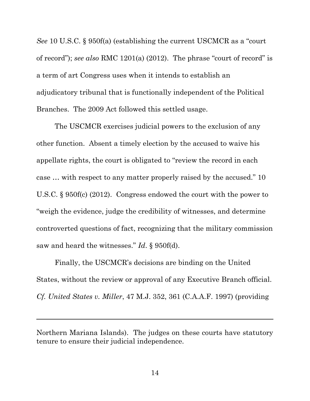*See* 10 U.S.C. § 950f(a) (establishing the current USCMCR as a "court of record"); *see also* RMC 1201(a) (2012). The phrase "court of record" is a term of art Congress uses when it intends to establish an adjudicatory tribunal that is functionally independent of the Political Branches. The 2009 Act followed this settled usage.

The USCMCR exercises judicial powers to the exclusion of any other function. Absent a timely election by the accused to waive his appellate rights, the court is obligated to "review the record in each case … with respect to any matter properly raised by the accused." 10 U.S.C. § 950f(c) (2012). Congress endowed the court with the power to "weigh the evidence, judge the credibility of witnesses, and determine controverted questions of fact, recognizing that the military commission saw and heard the witnesses." *Id*. § 950f(d).

Finally, the USCMCR's decisions are binding on the United States, without the review or approval of any Executive Branch official. *Cf. United States v. Miller*, 47 M.J. 352, 361 (C.A.A.F. 1997) (providing

Northern Mariana Islands). The judges on these courts have statutory tenure to ensure their judicial independence.

 $\overline{a}$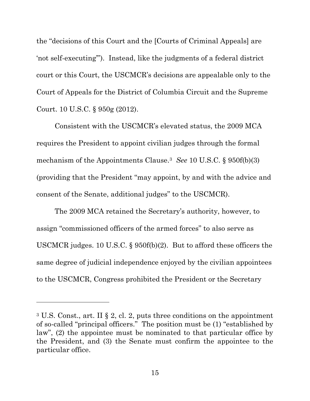the "decisions of this Court and the [Courts of Criminal Appeals] are 'not self-executing'"). Instead, like the judgments of a federal district court or this Court, the USCMCR's decisions are appealable only to the Court of Appeals for the District of Columbia Circuit and the Supreme Court. 10 U.S.C. § 950g (2012).

Consistent with the USCMCR's elevated status, the 2009 MCA requires the President to appoint civilian judges through the formal mechanism of the Appointments Clause.<sup>3</sup> *See* 10 U.S.C. § 950f(b)(3) (providing that the President "may appoint, by and with the advice and consent of the Senate, additional judges" to the USCMCR).

The 2009 MCA retained the Secretary's authority, however, to assign "commissioned officers of the armed forces" to also serve as USCMCR judges. 10 U.S.C. § 950f(b)(2). But to afford these officers the same degree of judicial independence enjoyed by the civilian appointees to the USCMCR, Congress prohibited the President or the Secretary

 $\overline{a}$ 

<sup>3</sup> U.S. Const., art. II § 2, cl. 2, puts three conditions on the appointment of so-called "principal officers." The position must be (1) "established by law", (2) the appointee must be nominated to that particular office by the President, and (3) the Senate must confirm the appointee to the particular office.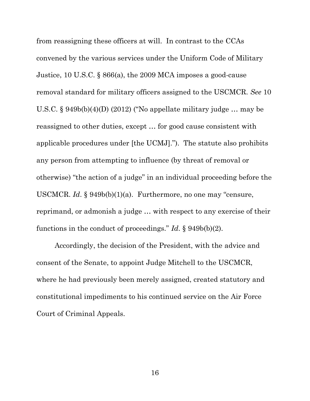from reassigning these officers at will. In contrast to the CCAs convened by the various services under the Uniform Code of Military Justice, 10 U.S.C. § 866(a), the 2009 MCA imposes a good-cause removal standard for military officers assigned to the USCMCR. *See* 10 U.S.C. § 949b(b)(4)(D) (2012) ("No appellate military judge … may be reassigned to other duties, except … for good cause consistent with applicable procedures under [the UCMJ]."). The statute also prohibits any person from attempting to influence (by threat of removal or otherwise) "the action of a judge" in an individual proceeding before the USCMCR. *Id*. § 949b(b)(1)(a). Furthermore, no one may "censure, reprimand, or admonish a judge … with respect to any exercise of their functions in the conduct of proceedings." *Id*. § 949b(b)(2).

Accordingly, the decision of the President, with the advice and consent of the Senate, to appoint Judge Mitchell to the USCMCR, where he had previously been merely assigned, created statutory and constitutional impediments to his continued service on the Air Force Court of Criminal Appeals.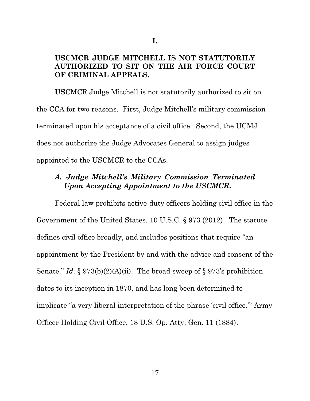### **USCMCR JUDGE MITCHELL IS NOT STATUTORILY AUTHORIZED TO SIT ON THE AIR FORCE COURT OF CRIMINAL APPEALS.**

**US**CMCR Judge Mitchell is not statutorily authorized to sit on the CCA for two reasons. First, Judge Mitchell's military commission terminated upon his acceptance of a civil office. Second, the UCMJ does not authorize the Judge Advocates General to assign judges appointed to the USCMCR to the CCAs.

## *A. Judge Mitchell's Military Commission Terminated Upon Accepting Appointment to the USCMCR.*

Federal law prohibits active-duty officers holding civil office in the Government of the United States. 10 U.S.C. § 973 (2012). The statute defines civil office broadly, and includes positions that require "an appointment by the President by and with the advice and consent of the Senate." *Id*. § 973(b)(2)(A)(ii). The broad sweep of § 973's prohibition dates to its inception in 1870, and has long been determined to implicate "a very liberal interpretation of the phrase 'civil office.'" Army Officer Holding Civil Office, 18 U.S. Op. Atty. Gen. 11 (1884).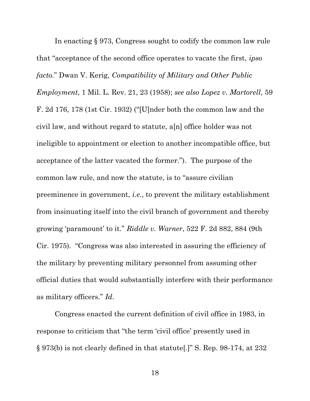In enacting § 973, Congress sought to codify the common law rule that "acceptance of the second office operates to vacate the first, *ipso facto.*" Dwan V. Kerig, *Compatibility of Military and Other Public Employment*, 1 Mil. L. Rev. 21, 23 (1958); *see also Lopez v. Martorell*, 59 F. 2d 176, 178 (1st Cir. 1932) ("[U]nder both the common law and the civil law, and without regard to statute, a[n] office holder was not ineligible to appointment or election to another incompatible office, but acceptance of the latter vacated the former."). The purpose of the common law rule, and now the statute, is to "assure civilian preeminence in government, *i.e.*, to prevent the military establishment from insinuating itself into the civil branch of government and thereby growing 'paramount' to it." *Riddle v. Warner*, 522 F. 2d 882, 884 (9th Cir. 1975). "Congress was also interested in assuring the efficiency of the military by preventing military personnel from assuming other official duties that would substantially interfere with their performance as military officers." *Id*.

Congress enacted the current definition of civil office in 1983, in response to criticism that "the term 'civil office' presently used in § 973(b) is not clearly defined in that statute[.]" S. Rep. 98-174, at 232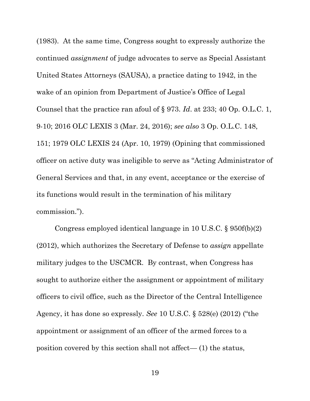(1983). At the same time, Congress sought to expressly authorize the continued *assignment* of judge advocates to serve as Special Assistant United States Attorneys (SAUSA), a practice dating to 1942, in the wake of an opinion from Department of Justice's Office of Legal Counsel that the practice ran afoul of § 973. *Id*. at 233; 40 Op. O.L.C. 1, 9-10; 2016 OLC LEXIS 3 (Mar. 24, 2016); *see also* 3 Op. O.L.C. 148, 151; 1979 OLC LEXIS 24 (Apr. 10, 1979) (Opining that commissioned officer on active duty was ineligible to serve as "Acting Administrator of General Services and that, in any event, acceptance or the exercise of its functions would result in the termination of his military commission.").

Congress employed identical language in 10 U.S.C. § 950f(b)(2) (2012), which authorizes the Secretary of Defense to *assign* appellate military judges to the USCMCR. By contrast, when Congress has sought to authorize either the assignment or appointment of military officers to civil office, such as the Director of the Central Intelligence Agency, it has done so expressly. *See* 10 U.S.C. § 528(e) (2012) ("the appointment or assignment of an officer of the armed forces to a position covered by this section shall not affect— (1) the status,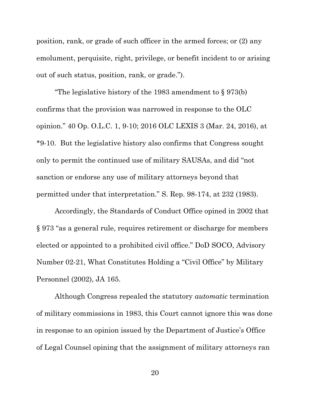position, rank, or grade of such officer in the armed forces; or (2) any emolument, perquisite, right, privilege, or benefit incident to or arising out of such status, position, rank, or grade.").

"The legislative history of the 1983 amendment to § 973(b) confirms that the provision was narrowed in response to the OLC opinion." 40 Op. O.L.C. 1, 9-10; 2016 OLC LEXIS 3 (Mar. 24, 2016), at \*9-10. But the legislative history also confirms that Congress sought only to permit the continued use of military SAUSAs, and did "not sanction or endorse any use of military attorneys beyond that permitted under that interpretation." S. Rep. 98-174, at 232 (1983).

Accordingly, the Standards of Conduct Office opined in 2002 that § 973 "as a general rule, requires retirement or discharge for members elected or appointed to a prohibited civil office." DoD SOCO, Advisory Number 02-21, What Constitutes Holding a "Civil Office" by Military Personnel (2002), JA 165.

Although Congress repealed the statutory *automatic* termination of military commissions in 1983, this Court cannot ignore this was done in response to an opinion issued by the Department of Justice's Office of Legal Counsel opining that the assignment of military attorneys ran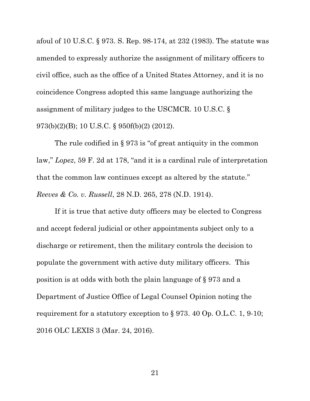afoul of 10 U.S.C. § 973. S. Rep. 98-174, at 232 (1983). The statute was amended to expressly authorize the assignment of military officers to civil office, such as the office of a United States Attorney, and it is no coincidence Congress adopted this same language authorizing the assignment of military judges to the USCMCR. 10 U.S.C. § 973(b)(2)(B); 10 U.S.C. § 950f(b)(2) (2012).

The rule codified in § 973 is "of great antiquity in the common law," *Lopez*, 59 F. 2d at 178, "and it is a cardinal rule of interpretation that the common law continues except as altered by the statute." *Reeves & Co. v. Russell*, 28 N.D. 265, 278 (N.D. 1914).

If it is true that active duty officers may be elected to Congress and accept federal judicial or other appointments subject only to a discharge or retirement, then the military controls the decision to populate the government with active duty military officers. This position is at odds with both the plain language of § 973 and a Department of Justice Office of Legal Counsel Opinion noting the requirement for a statutory exception to § 973. 40 Op. O.L.C. 1, 9-10; 2016 OLC LEXIS 3 (Mar. 24, 2016).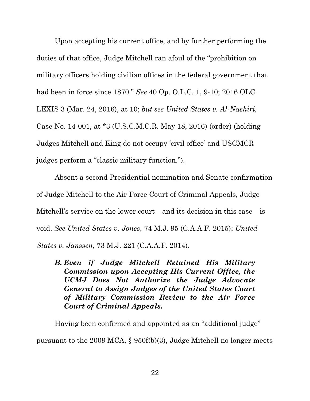Upon accepting his current office, and by further performing the duties of that office, Judge Mitchell ran afoul of the "prohibition on military officers holding civilian offices in the federal government that had been in force since 1870." *See* 40 Op. O.L.C. 1, 9-10; 2016 OLC LEXIS 3 (Mar. 24, 2016), at 10; *but see United States v. Al-Nashiri,* Case No. 14-001, at \*3 (U.S.C.M.C.R. May 18, 2016) (order) (holding Judges Mitchell and King do not occupy 'civil office' and USCMCR judges perform a "classic military function.").

Absent a second Presidential nomination and Senate confirmation of Judge Mitchell to the Air Force Court of Criminal Appeals, Judge Mitchell's service on the lower court—and its decision in this case—is void. *See United States v. Jones*, 74 M.J. 95 (C.A.A.F. 2015); *United States v. Janssen*, 73 M.J. 221 (C.A.A.F. 2014).

*B. Even if Judge Mitchell Retained His Military Commission upon Accepting His Current Office, the UCMJ Does Not Authorize the Judge Advocate General to Assign Judges of the United States Court of Military Commission Review to the Air Force Court of Criminal Appeals.* 

Having been confirmed and appointed as an "additional judge" pursuant to the 2009 MCA, § 950f(b)(3), Judge Mitchell no longer meets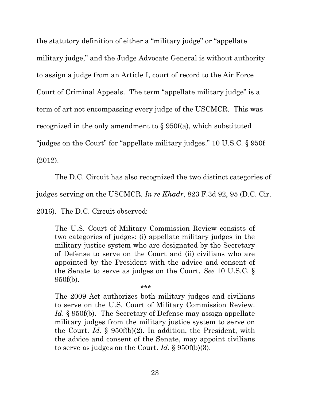the statutory definition of either a "military judge" or "appellate military judge," and the Judge Advocate General is without authority to assign a judge from an Article I, court of record to the Air Force Court of Criminal Appeals. The term "appellate military judge" is a term of art not encompassing every judge of the USCMCR. This was recognized in the only amendment to § 950f(a), which substituted "judges on the Court" for "appellate military judges." 10 U.S.C. § 950f (2012).

The D.C. Circuit has also recognized the two distinct categories of

judges serving on the USCMCR. *In re Khadr*, 823 F.3d 92, 95 (D.C. Cir.

2016). The D.C. Circuit observed:

The U.S. Court of Military Commission Review consists of two categories of judges: (i) appellate military judges in the military justice system who are designated by the Secretary of Defense to serve on the Court and (ii) civilians who are appointed by the President with the advice and consent of the Senate to serve as judges on the Court. *See* 10 U.S.C. § 950f(b).

\*\*\*

The 2009 Act authorizes both military judges and civilians to serve on the U.S. Court of Military Commission Review. *Id.* § 950f(b). The Secretary of Defense may assign appellate military judges from the military justice system to serve on the Court. *Id.* § 950f(b)(2). In addition, the President, with the advice and consent of the Senate, may appoint civilians to serve as judges on the Court. *Id*. § 950f(b)(3).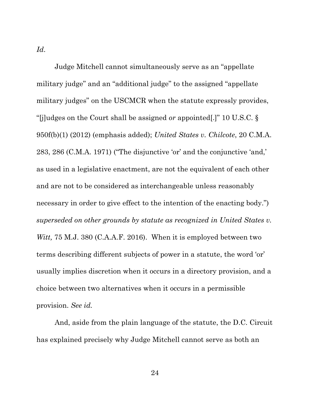*Id*.

Judge Mitchell cannot simultaneously serve as an "appellate military judge" and an "additional judge" to the assigned "appellate military judges" on the USCMCR when the statute expressly provides, "[j]udges on the Court shall be assigned *or* appointed[.]" 10 U.S.C. § 950f(b)(1) (2012) (emphasis added); *United States v. Chilcote*, 20 C.M.A. 283, 286 (C.M.A. 1971) ("The disjunctive 'or' and the conjunctive 'and,' as used in a legislative enactment, are not the equivalent of each other and are not to be considered as interchangeable unless reasonably necessary in order to give effect to the intention of the enacting body.") *superseded on other grounds by statute as recognized in United States v. Witt,* 75 M.J. 380 (C.A.A.F. 2016). When it is employed between two terms describing different subjects of power in a statute, the word 'or' usually implies discretion when it occurs in a directory provision, and a choice between two alternatives when it occurs in a permissible provision. *See id.* 

And, aside from the plain language of the statute, the D.C. Circuit has explained precisely why Judge Mitchell cannot serve as both an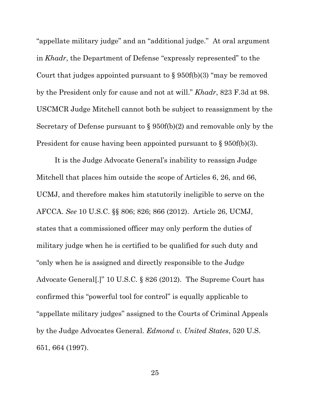"appellate military judge" and an "additional judge." At oral argument in *Khadr*, the Department of Defense "expressly represented" to the Court that judges appointed pursuant to  $\S$  950f(b)(3) "may be removed by the President only for cause and not at will." *Khadr*, 823 F.3d at 98. USCMCR Judge Mitchell cannot both be subject to reassignment by the Secretary of Defense pursuant to § 950f(b)(2) and removable only by the President for cause having been appointed pursuant to § 950f(b)(3).

It is the Judge Advocate General's inability to reassign Judge Mitchell that places him outside the scope of Articles 6, 26, and 66, UCMJ, and therefore makes him statutorily ineligible to serve on the AFCCA. *See* 10 U.S.C. §§ 806; 826; 866 (2012). Article 26, UCMJ, states that a commissioned officer may only perform the duties of military judge when he is certified to be qualified for such duty and "only when he is assigned and directly responsible to the Judge Advocate General[.]" 10 U.S.C. § 826 (2012). The Supreme Court has confirmed this "powerful tool for control" is equally applicable to "appellate military judges" assigned to the Courts of Criminal Appeals by the Judge Advocates General. *Edmond v. United States*, 520 U.S. 651, 664 (1997).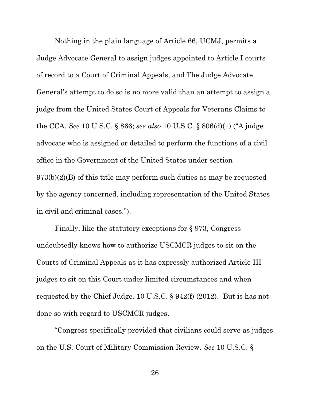Nothing in the plain language of Article 66, UCMJ, permits a Judge Advocate General to assign judges appointed to Article I courts of record to a Court of Criminal Appeals, and The Judge Advocate General's attempt to do so is no more valid than an attempt to assign a judge from the United States Court of Appeals for Veterans Claims to the CCA. *See* 10 U.S.C. § 866; *see also* 10 U.S.C. § 806(d)(1) ("A judge advocate who is assigned or detailed to perform the functions of a civil office in the Government of the United States under section  $973(b)(2)(B)$  of this title may perform such duties as may be requested by the agency concerned, including representation of the United States in civil and criminal cases.").

Finally, like the statutory exceptions for § 973, Congress undoubtedly knows how to authorize USCMCR judges to sit on the Courts of Criminal Appeals as it has expressly authorized Article III judges to sit on this Court under limited circumstances and when requested by the Chief Judge. 10 U.S.C. § 942(f) (2012). But is has not done so with regard to USCMCR judges.

"Congress specifically provided that civilians could serve as judges on the U.S. Court of Military Commission Review. *See* 10 U.S.C. §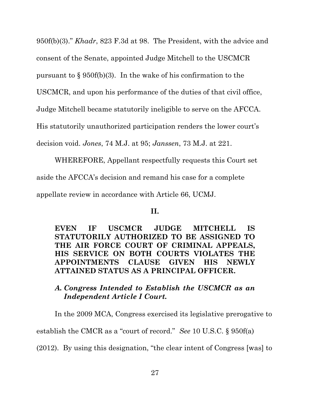950f(b)(3)." *Khadr*, 823 F.3d at 98. The President, with the advice and consent of the Senate, appointed Judge Mitchell to the USCMCR pursuant to  $\S 950f(b)(3)$ . In the wake of his confirmation to the USCMCR, and upon his performance of the duties of that civil office, Judge Mitchell became statutorily ineligible to serve on the AFCCA. His statutorily unauthorized participation renders the lower court's decision void. *Jones*, 74 M.J. at 95; *Janssen*, 73 M.J. at 221.

WHEREFORE, Appellant respectfully requests this Court set aside the AFCCA's decision and remand his case for a complete appellate review in accordance with Article 66, UCMJ.

### **II.**

**EVEN IF USCMCR JUDGE MITCHELL IS STATUTORILY AUTHORIZED TO BE ASSIGNED TO THE AIR FORCE COURT OF CRIMINAL APPEALS, HIS SERVICE ON BOTH COURTS VIOLATES THE APPOINTMENTS CLAUSE GIVEN HIS NEWLY ATTAINED STATUS AS A PRINCIPAL OFFICER.** 

# *A. Congress Intended to Establish the USCMCR as an Independent Article I Court.*

In the 2009 MCA, Congress exercised its legislative prerogative to establish the CMCR as a "court of record." *See* 10 U.S.C. § 950f(a) (2012). By using this designation, "the clear intent of Congress [was] to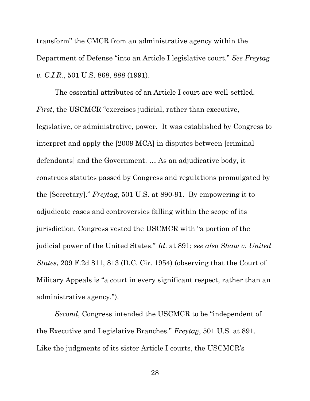transform" the CMCR from an administrative agency within the Department of Defense "into an Article I legislative court." *See Freytag v. C.I.R.*, 501 U.S. 868, 888 (1991).

The essential attributes of an Article I court are well-settled. *First*, the USCMCR "exercises judicial, rather than executive, legislative, or administrative, power. It was established by Congress to interpret and apply the [2009 MCA] in disputes between [criminal defendants] and the Government. … As an adjudicative body, it construes statutes passed by Congress and regulations promulgated by the [Secretary]." *Freytag*, 501 U.S. at 890-91. By empowering it to adjudicate cases and controversies falling within the scope of its jurisdiction, Congress vested the USCMCR with "a portion of the judicial power of the United States." *Id*. at 891; *see also Shaw v. United States*, 209 F.2d 811, 813 (D.C. Cir. 1954) (observing that the Court of Military Appeals is "a court in every significant respect, rather than an administrative agency.").

*Second*, Congress intended the USCMCR to be "independent of the Executive and Legislative Branches." *Freytag*, 501 U.S. at 891. Like the judgments of its sister Article I courts, the USCMCR's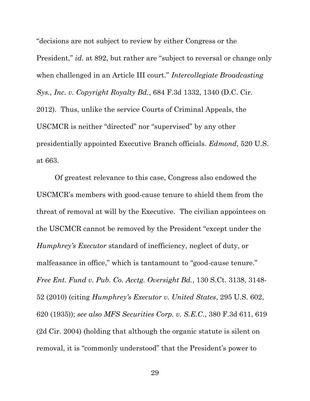"decisions are not subject to review by either Congress or the President," *id*. at 892, but rather are "subject to reversal or change only when challenged in an Article III court." *Intercollegiate Broadcasting Sys., Inc. v. Copyright Royalty Bd.*, 684 F.3d 1332, 1340 (D.C. Cir. 2012). Thus, unlike the service Courts of Criminal Appeals, the USCMCR is neither "directed" nor "supervised" by any other presidentially appointed Executive Branch officials. *Edmond*, 520 U.S. at 663.

Of greatest relevance to this case, Congress also endowed the USCMCR's members with good-cause tenure to shield them from the threat of removal at will by the Executive. The civilian appointees on the USCMCR cannot be removed by the President "except under the *Humphrey's Executor* standard of inefficiency, neglect of duty, or malfeasance in office," which is tantamount to "good-cause tenure." *Free Ent. Fund v. Pub. Co. Acctg. Oversight Bd.*, 130 S.Ct. 3138, 3148- 52 (2010) (citing *Humphrey's Executor v. United States*, 295 U.S. 602, 620 (1935)); *see also MFS Securities Corp. v. S.E.C*., 380 F.3d 611, 619 (2d Cir. 2004) (holding that although the organic statute is silent on removal, it is "commonly understood" that the President's power to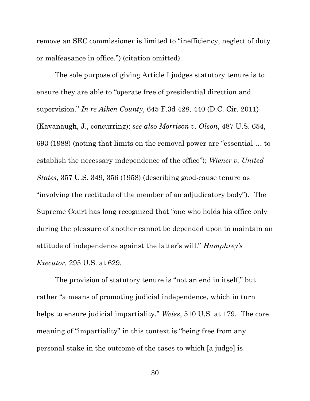remove an SEC commissioner is limited to "inefficiency, neglect of duty or malfeasance in office.") (citation omitted).

The sole purpose of giving Article I judges statutory tenure is to ensure they are able to "operate free of presidential direction and supervision." *In re Aiken County*, 645 F.3d 428, 440 (D.C. Cir. 2011) (Kavanaugh, J., concurring); *see also Morrison v. Olson*, 487 U.S. 654, 693 (1988) (noting that limits on the removal power are "essential … to establish the necessary independence of the office"); *Wiener v. United States*, 357 U.S. 349, 356 (1958) (describing good-cause tenure as "involving the rectitude of the member of an adjudicatory body"). The Supreme Court has long recognized that "one who holds his office only during the pleasure of another cannot be depended upon to maintain an attitude of independence against the latter's will." *Humphrey's Executor,* 295 U.S. at 629.

The provision of statutory tenure is "not an end in itself," but rather "a means of promoting judicial independence, which in turn helps to ensure judicial impartiality." *Weiss*, 510 U.S. at 179. The core meaning of "impartiality" in this context is "being free from any personal stake in the outcome of the cases to which [a judge] is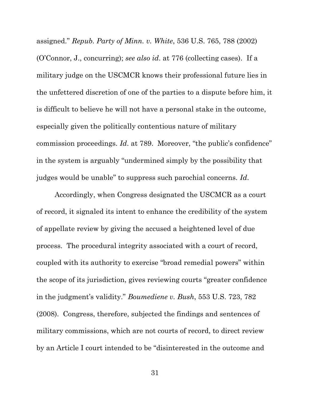assigned." *Repub. Party of Minn. v. White*, 536 U.S. 765, 788 (2002) (O'Connor, J., concurring); *see also id*. at 776 (collecting cases). If a military judge on the USCMCR knows their professional future lies in the unfettered discretion of one of the parties to a dispute before him, it is difficult to believe he will not have a personal stake in the outcome, especially given the politically contentious nature of military commission proceedings. *Id*. at 789. Moreover, "the public's confidence" in the system is arguably "undermined simply by the possibility that judges would be unable" to suppress such parochial concerns. *Id*.

Accordingly, when Congress designated the USCMCR as a court of record, it signaled its intent to enhance the credibility of the system of appellate review by giving the accused a heightened level of due process. The procedural integrity associated with a court of record, coupled with its authority to exercise "broad remedial powers" within the scope of its jurisdiction, gives reviewing courts "greater confidence in the judgment's validity." *Boumediene v. Bush*, 553 U.S. 723, 782 (2008). Congress, therefore, subjected the findings and sentences of military commissions, which are not courts of record, to direct review by an Article I court intended to be "disinterested in the outcome and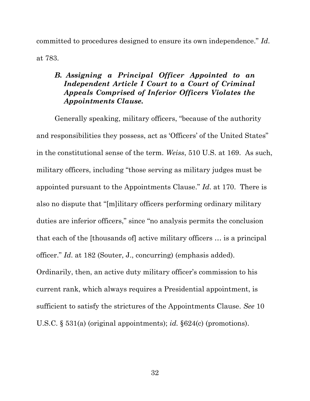committed to procedures designed to ensure its own independence." *Id*. at 783.

## *B. Assigning a Principal Officer Appointed to an Independent Article I Court to a Court of Criminal Appeals Comprised of Inferior Officers Violates the Appointments Clause.*

Generally speaking, military officers, "because of the authority and responsibilities they possess, act as 'Officers' of the United States" in the constitutional sense of the term. *Weiss*, 510 U.S. at 169. As such, military officers, including "those serving as military judges must be appointed pursuant to the Appointments Clause." *Id*. at 170. There is also no dispute that "[m]ilitary officers performing ordinary military duties are inferior officers," since "no analysis permits the conclusion that each of the [thousands of] active military officers … is a principal officer." *Id*. at 182 (Souter, J., concurring) (emphasis added). Ordinarily, then, an active duty military officer's commission to his current rank, which always requires a Presidential appointment, is sufficient to satisfy the strictures of the Appointments Clause. *See* 10 U.S.C. § 531(a) (original appointments); *id.* §624(c) (promotions).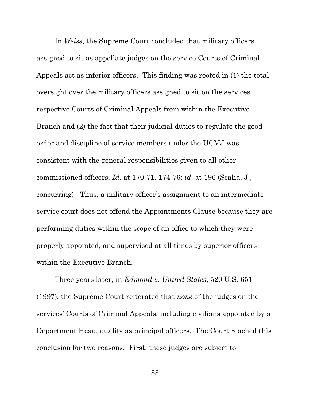In *Weiss*, the Supreme Court concluded that military officers assigned to sit as appellate judges on the service Courts of Criminal Appeals act as inferior officers. This finding was rooted in (1) the total oversight over the military officers assigned to sit on the services respective Courts of Criminal Appeals from within the Executive Branch and (2) the fact that their judicial duties to regulate the good order and discipline of service members under the UCMJ was consistent with the general responsibilities given to all other commissioned officers. *Id*. at 170-71, 174-76; *id*. at 196 (Scalia, J., concurring). Thus, a military officer's assignment to an intermediate service court does not offend the Appointments Clause because they are performing duties within the scope of an office to which they were properly appointed, and supervised at all times by superior officers within the Executive Branch.

Three years later, in *Edmond v. United States*, 520 U.S. 651 (1997), the Supreme Court reiterated that *none* of the judges on the services' Courts of Criminal Appeals, including civilians appointed by a Department Head, qualify as principal officers. The Court reached this conclusion for two reasons. First, these judges are subject to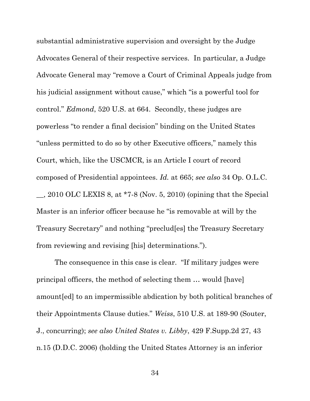substantial administrative supervision and oversight by the Judge Advocates General of their respective services. In particular, a Judge Advocate General may "remove a Court of Criminal Appeals judge from his judicial assignment without cause," which "is a powerful tool for control." *Edmond*, 520 U.S. at 664. Secondly, these judges are powerless "to render a final decision" binding on the United States "unless permitted to do so by other Executive officers," namely this Court, which, like the USCMCR, is an Article I court of record composed of Presidential appointees. *Id.* at 665; *see also* 34 Op. O.L.C.  $\ldots$ , 2010 OLC LEXIS 8, at \*7-8 (Nov. 5, 2010) (opining that the Special Master is an inferior officer because he "is removable at will by the Treasury Secretary" and nothing "preclud[es] the Treasury Secretary from reviewing and revising [his] determinations.").

The consequence in this case is clear. "If military judges were principal officers, the method of selecting them … would [have] amount[ed] to an impermissible abdication by both political branches of their Appointments Clause duties." *Weiss*, 510 U.S. at 189-90 (Souter, J., concurring); *see also United States v. Libby*, 429 F.Supp.2d 27, 43 n.15 (D.D.C. 2006) (holding the United States Attorney is an inferior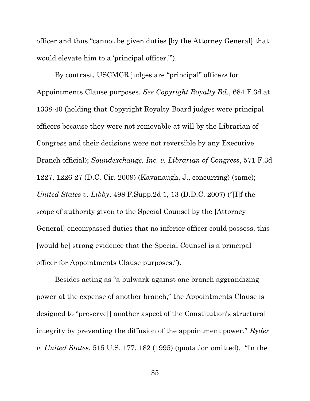officer and thus "cannot be given duties [by the Attorney General] that would elevate him to a 'principal officer.'").

By contrast, USCMCR judges are "principal" officers for Appointments Clause purposes. *See Copyright Royalty Bd.*, 684 F.3d at 1338-40 (holding that Copyright Royalty Board judges were principal officers because they were not removable at will by the Librarian of Congress and their decisions were not reversible by any Executive Branch official); *Soundexchange, Inc. v. Librarian of Congress*, 571 F.3d 1227, 1226-27 (D.C. Cir. 2009) (Kavanaugh, J., concurring) (same); *United States v. Libby*, 498 F.Supp.2d 1, 13 (D.D.C. 2007) ("[I]f the scope of authority given to the Special Counsel by the [Attorney General] encompassed duties that no inferior officer could possess, this [would be] strong evidence that the Special Counsel is a principal officer for Appointments Clause purposes.").

Besides acting as "a bulwark against one branch aggrandizing power at the expense of another branch," the Appointments Clause is designed to "preserve[] another aspect of the Constitution's structural integrity by preventing the diffusion of the appointment power." *Ryder v. United States*, 515 U.S. 177, 182 (1995) (quotation omitted). "In the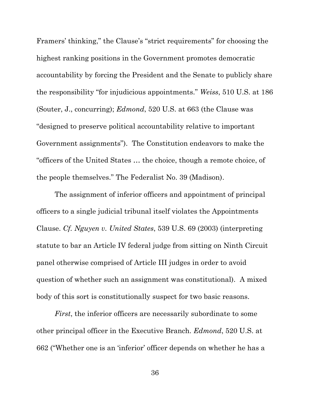Framers' thinking," the Clause's "strict requirements" for choosing the highest ranking positions in the Government promotes democratic accountability by forcing the President and the Senate to publicly share the responsibility "for injudicious appointments." *Weiss*, 510 U.S. at 186 (Souter, J., concurring); *Edmond*, 520 U.S. at 663 (the Clause was "designed to preserve political accountability relative to important Government assignments"). The Constitution endeavors to make the "officers of the United States … the choice, though a remote choice, of the people themselves." The Federalist No. 39 (Madison).

The assignment of inferior officers and appointment of principal officers to a single judicial tribunal itself violates the Appointments Clause. *Cf. Nguyen v. United States*, 539 U.S. 69 (2003) (interpreting statute to bar an Article IV federal judge from sitting on Ninth Circuit panel otherwise comprised of Article III judges in order to avoid question of whether such an assignment was constitutional). A mixed body of this sort is constitutionally suspect for two basic reasons.

*First*, the inferior officers are necessarily subordinate to some other principal officer in the Executive Branch. *Edmond*, 520 U.S. at 662 ("Whether one is an 'inferior' officer depends on whether he has a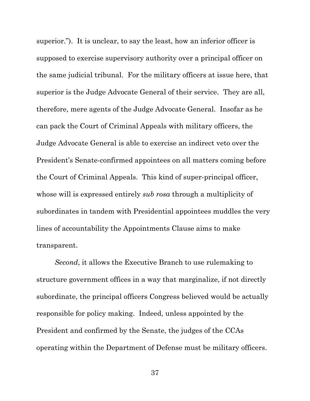superior."). It is unclear, to say the least, how an inferior officer is supposed to exercise supervisory authority over a principal officer on the same judicial tribunal. For the military officers at issue here, that superior is the Judge Advocate General of their service. They are all, therefore, mere agents of the Judge Advocate General. Insofar as he can pack the Court of Criminal Appeals with military officers, the Judge Advocate General is able to exercise an indirect veto over the President's Senate-confirmed appointees on all matters coming before the Court of Criminal Appeals. This kind of super-principal officer, whose will is expressed entirely *sub rosa* through a multiplicity of subordinates in tandem with Presidential appointees muddles the very lines of accountability the Appointments Clause aims to make transparent.

*Second*, it allows the Executive Branch to use rulemaking to structure government offices in a way that marginalize, if not directly subordinate, the principal officers Congress believed would be actually responsible for policy making. Indeed, unless appointed by the President and confirmed by the Senate, the judges of the CCAs operating within the Department of Defense must be military officers.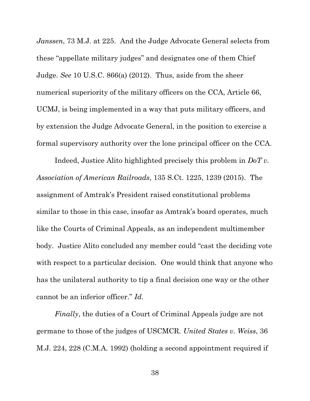*Janssen*, 73 M.J. at 225. And the Judge Advocate General selects from these "appellate military judges" and designates one of them Chief Judge. *See* 10 U.S.C. 866(a) (2012). Thus, aside from the sheer numerical superiority of the military officers on the CCA, Article 66, UCMJ, is being implemented in a way that puts military officers, and by extension the Judge Advocate General, in the position to exercise a formal supervisory authority over the lone principal officer on the CCA.

Indeed, Justice Alito highlighted precisely this problem in *DoT v. Association of American Railroads*, 135 S.Ct. 1225, 1239 (2015). The assignment of Amtrak's President raised constitutional problems similar to those in this case, insofar as Amtrak's board operates, much like the Courts of Criminal Appeals, as an independent multimember body. Justice Alito concluded any member could "cast the deciding vote with respect to a particular decision. One would think that anyone who has the unilateral authority to tip a final decision one way or the other cannot be an inferior officer." *Id*.

*Finally*, the duties of a Court of Criminal Appeals judge are not germane to those of the judges of USCMCR. *United States v. Weiss*, 36 M.J. 224, 228 (C.M.A. 1992) (holding a second appointment required if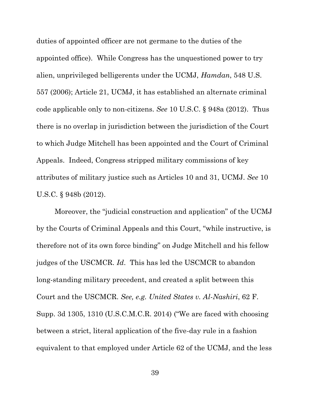duties of appointed officer are not germane to the duties of the appointed office). While Congress has the unquestioned power to try alien, unprivileged belligerents under the UCMJ, *Hamdan*, 548 U.S. 557 (2006); Article 21, UCMJ, it has established an alternate criminal code applicable only to non-citizens. *See* 10 U.S.C. § 948a (2012). Thus there is no overlap in jurisdiction between the jurisdiction of the Court to which Judge Mitchell has been appointed and the Court of Criminal Appeals. Indeed, Congress stripped military commissions of key attributes of military justice such as Articles 10 and 31, UCMJ. *See* 10 U.S.C. § 948b (2012).

Moreover, the "judicial construction and application" of the UCMJ by the Courts of Criminal Appeals and this Court, "while instructive, is therefore not of its own force binding" on Judge Mitchell and his fellow judges of the USCMCR. *Id*. This has led the USCMCR to abandon long-standing military precedent, and created a split between this Court and the USCMCR. *See, e.g. United States v. Al-Nashiri*, 62 F. Supp. 3d 1305, 1310 (U.S.C.M.C.R. 2014) ("We are faced with choosing between a strict, literal application of the five-day rule in a fashion equivalent to that employed under Article 62 of the UCMJ, and the less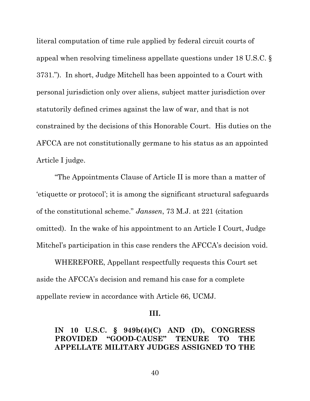literal computation of time rule applied by federal circuit courts of appeal when resolving timeliness appellate questions under 18 U.S.C. § 3731."). In short, Judge Mitchell has been appointed to a Court with personal jurisdiction only over aliens, subject matter jurisdiction over statutorily defined crimes against the law of war, and that is not constrained by the decisions of this Honorable Court. His duties on the AFCCA are not constitutionally germane to his status as an appointed Article I judge.

"The Appointments Clause of Article II is more than a matter of 'etiquette or protocol'; it is among the significant structural safeguards of the constitutional scheme." *Janssen*, 73 M.J. at 221 (citation omitted). In the wake of his appointment to an Article I Court, Judge Mitchel's participation in this case renders the AFCCA's decision void.

WHEREFORE, Appellant respectfully requests this Court set aside the AFCCA's decision and remand his case for a complete appellate review in accordance with Article 66, UCMJ.

### **III.**

### **IN 10 U.S.C. § 949b(4)(C) AND (D), CONGRESS**   $PROVIDED$  "GOOD-CAUSE" TENURE TO **APPELLATE MILITARY JUDGES ASSIGNED TO THE**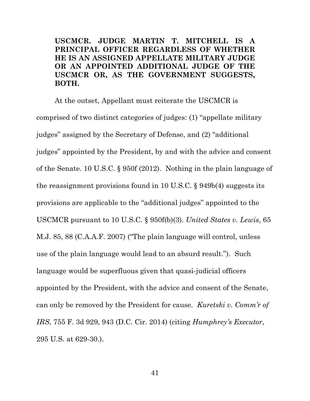**USCMCR. JUDGE MARTIN T. MITCHELL IS A PRINCIPAL OFFICER REGARDLESS OF WHETHER HE IS AN ASSIGNED APPELLATE MILITARY JUDGE OR AN APPOINTED ADDITIONAL JUDGE OF THE USCMCR OR, AS THE GOVERNMENT SUGGESTS, BOTH.**

At the outset, Appellant must reiterate the USCMCR is comprised of two distinct categories of judges: (1) "appellate military judges" assigned by the Secretary of Defense, and (2) "additional judges" appointed by the President, by and with the advice and consent of the Senate. 10 U.S.C. § 950f (2012). Nothing in the plain language of the reassignment provisions found in 10 U.S.C. § 949b(4) suggests its provisions are applicable to the "additional judges" appointed to the USCMCR pursuant to 10 U.S.C. § 950f(b)(3). *United States v. Lewis*, 65 M.J. 85, 88 (C.A.A.F. 2007) ("The plain language will control, unless use of the plain language would lead to an absurd result."). Such language would be superfluous given that quasi-judicial officers appointed by the President, with the advice and consent of the Senate, can only be removed by the President for cause. *Kuretski v. Comm'r of IRS*, 755 F. 3d 929, 943 (D.C. Cir. 2014) (citing *Humphrey's Executor*, 295 U.S. at 629-30.).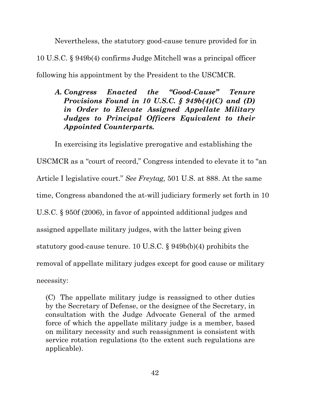Nevertheless, the statutory good-cause tenure provided for in 10 U.S.C. § 949b(4) confirms Judge Mitchell was a principal officer following his appointment by the President to the USCMCR.

# *A. Congress Enacted the "Good-Cause" Tenure Provisions Found in 10 U.S.C. § 949b(4)(C) and (D) in Order to Elevate Assigned Appellate Military Judges to Principal Officers Equivalent to their Appointed Counterparts.*

In exercising its legislative prerogative and establishing the USCMCR as a "court of record," Congress intended to elevate it to "an Article I legislative court." *See Freytag,* 501 U.S. at 888. At the same time, Congress abandoned the at-will judiciary formerly set forth in 10 U.S.C. § 950f (2006), in favor of appointed additional judges and assigned appellate military judges, with the latter being given statutory good-cause tenure. 10 U.S.C. § 949b(b)(4) prohibits the removal of appellate military judges except for good cause or military necessity:

(C) The appellate military judge is reassigned to other duties by the Secretary of Defense, or the designee of the Secretary, in consultation with the Judge Advocate General of the armed force of which the appellate military judge is a member, based on military necessity and such reassignment is consistent with service rotation regulations (to the extent such regulations are applicable).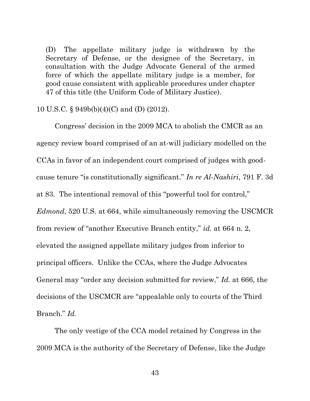(D) The appellate military judge is withdrawn by the Secretary of Defense, or the designee of the Secretary, in consultation with the Judge Advocate General of the armed force of which the appellate military judge is a member, for good cause consistent with applicable procedures under chapter 47 of this title (the Uniform Code of Military Justice).

### 10 U.S.C. § 949b(b)(4)(C) and (D) (2012).

Congress' decision in the 2009 MCA to abolish the CMCR as an agency review board comprised of an at-will judiciary modelled on the CCAs in favor of an independent court comprised of judges with goodcause tenure "is constitutionally significant." *In re Al-Nashiri*, 791 F. 3d at 83. The intentional removal of this "powerful tool for control," *Edmond*, 520 U.S. at 664, while simultaneously removing the USCMCR from review of "another Executive Branch entity," *id.* at 664 n. 2, elevated the assigned appellate military judges from inferior to principal officers. Unlike the CCAs, where the Judge Advocates General may "order any decision submitted for review," *Id.* at 666, the decisions of the USCMCR are "appealable only to courts of the Third Branch." *Id.* 

 The only vestige of the CCA model retained by Congress in the 2009 MCA is the authority of the Secretary of Defense, like the Judge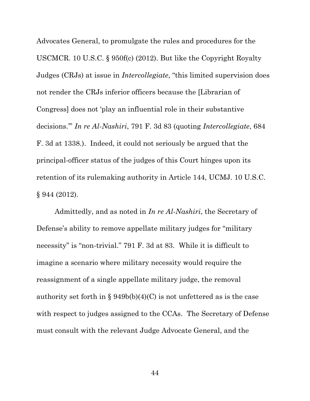Advocates General, to promulgate the rules and procedures for the USCMCR. 10 U.S.C. § 950f(c) (2012). But like the Copyright Royalty Judges (CRJs) at issue in *Intercollegiate*, "this limited supervision does not render the CRJs inferior officers because the [Librarian of Congress] does not 'play an influential role in their substantive decisions.'" *In re Al-Nashiri*, 791 F. 3d 83 (quoting *Intercollegiate*, 684 F. 3d at 1338.). Indeed, it could not seriously be argued that the principal-officer status of the judges of this Court hinges upon its retention of its rulemaking authority in Article 144, UCMJ. 10 U.S.C. § 944 (2012).

Admittedly, and as noted in *In re Al-Nashiri*, the Secretary of Defense's ability to remove appellate military judges for "military necessity" is "non-trivial." 791 F. 3d at 83. While it is difficult to imagine a scenario where military necessity would require the reassignment of a single appellate military judge, the removal authority set forth in  $\S 949b(b)(4)(C)$  is not unfettered as is the case with respect to judges assigned to the CCAs. The Secretary of Defense must consult with the relevant Judge Advocate General, and the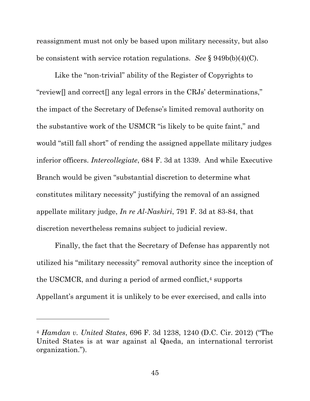reassignment must not only be based upon military necessity, but also be consistent with service rotation regulations. *See* § 949b(b)(4)(C).

Like the "non-trivial" ability of the Register of Copyrights to "review[] and correct[] any legal errors in the CRJs' determinations," the impact of the Secretary of Defense's limited removal authority on the substantive work of the USMCR "is likely to be quite faint," and would "still fall short" of rending the assigned appellate military judges inferior officers. *Intercollegiate*, 684 F. 3d at 1339. And while Executive Branch would be given "substantial discretion to determine what constitutes military necessity" justifying the removal of an assigned appellate military judge, *In re Al-Nashiri*, 791 F. 3d at 83-84, that discretion nevertheless remains subject to judicial review.

Finally, the fact that the Secretary of Defense has apparently not utilized his "military necessity" removal authority since the inception of the USCMCR, and during a period of armed conflict,<sup>4</sup> supports Appellant's argument it is unlikely to be ever exercised, and calls into

 $\overline{a}$ 

<sup>4</sup> *Hamdan v. United States*, 696 F. 3d 1238, 1240 (D.C. Cir. 2012) ("The United States is at war against al Qaeda, an international terrorist organization.").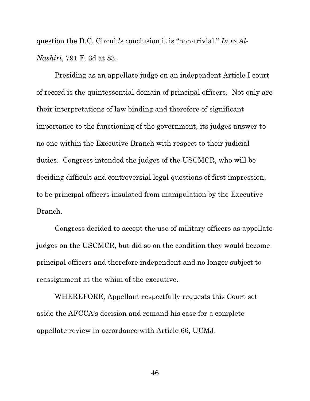question the D.C. Circuit's conclusion it is "non-trivial." *In re Al-Nashiri*, 791 F. 3d at 83.

Presiding as an appellate judge on an independent Article I court of record is the quintessential domain of principal officers. Not only are their interpretations of law binding and therefore of significant importance to the functioning of the government, its judges answer to no one within the Executive Branch with respect to their judicial duties. Congress intended the judges of the USCMCR, who will be deciding difficult and controversial legal questions of first impression, to be principal officers insulated from manipulation by the Executive Branch.

Congress decided to accept the use of military officers as appellate judges on the USCMCR, but did so on the condition they would become principal officers and therefore independent and no longer subject to reassignment at the whim of the executive.

WHEREFORE, Appellant respectfully requests this Court set aside the AFCCA's decision and remand his case for a complete appellate review in accordance with Article 66, UCMJ.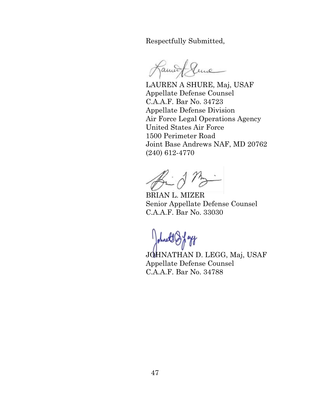Respectfully Submitted,

Jame une

LAUREN A SHURE, Maj, USAF Appellate Defense Counsel C.A.A.F. Bar No. 34723 Appellate Defense Division Air Force Legal Operations Agency United States Air Force 1500 Perimeter Road Joint Base Andrews NAF, MD 20762 (240) 612-4770

 $\mathbb{R}$  d

BRIAN L. MIZER Senior Appellate Defense Counsel C.A.A.F. Bar No. 33030

Johnet & Jandy

JOHNATHAN D. LEGG, Maj, USAF Appellate Defense Counsel C.A.A.F. Bar No. 34788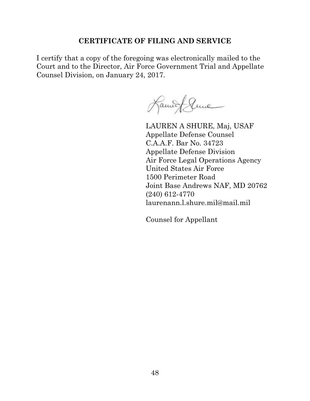## **CERTIFICATE OF FILING AND SERVICE**

I certify that a copy of the foregoing was electronically mailed to the Court and to the Director, Air Force Government Trial and Appellate Counsel Division, on January 24, 2017.

Lament Sume

LAUREN A SHURE, Maj, USAF Appellate Defense Counsel C.A.A.F. Bar No. 34723 Appellate Defense Division Air Force Legal Operations Agency United States Air Force 1500 Perimeter Road Joint Base Andrews NAF, MD 20762 (240) 612-4770 laurenann.l.shure.mil@mail.mil

Counsel for Appellant